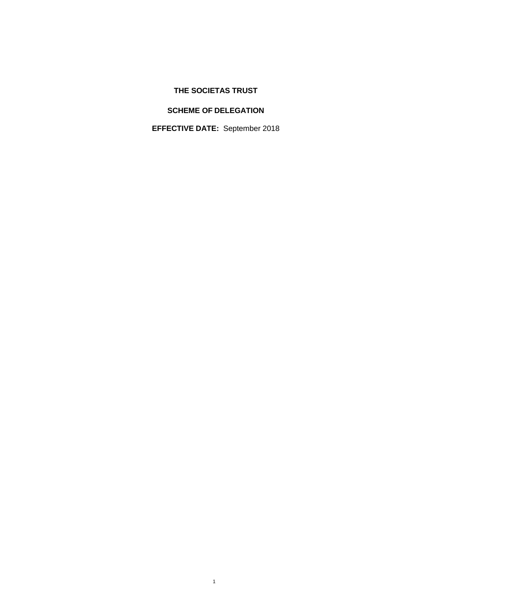# **THE SOCIETAS TRUST**

# **SCHEME OF DELEGATION**

**EFFECTIVE DATE:** September 2018

1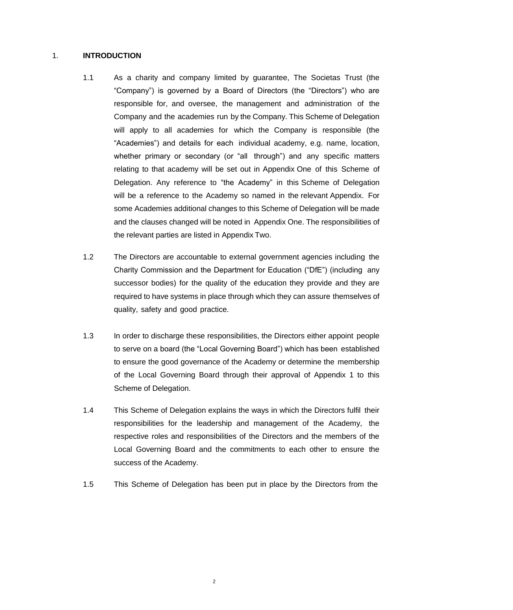# 1. **INTRODUCTION**

- 1.1 As a charity and company limited by guarantee, The Societas Trust (the "Company") is governed by a Board of Directors (the "Directors") who are responsible for, and oversee, the management and administration of the Company and the academies run by the Company. This Scheme of Delegation will apply to all academies for which the Company is responsible (the "Academies") and details for each individual academy, e.g. name, location, whether primary or secondary (or "all through") and any specific matters relating to that academy will be set out in Appendix One of this Scheme of Delegation. Any reference to "the Academy" in this Scheme of Delegation will be a reference to the Academy so named in the relevant Appendix. For some Academies additional changes to this Scheme of Delegation will be made and the clauses changed will be noted in Appendix One. The responsibilities of the relevant parties are listed in Appendix Two.
- 1.2 The Directors are accountable to external government agencies including the Charity Commission and the Department for Education ("DfE") (including any successor bodies) for the quality of the education they provide and they are required to have systems in place through which they can assure themselves of quality, safety and good practice.
- 1.3 In order to discharge these responsibilities, the Directors either appoint people to serve on a board (the "Local Governing Board") which has been established to ensure the good governance of the Academy or determine the membership of the Local Governing Board through their approval of Appendix 1 to this Scheme of Delegation.
- 1.4 This Scheme of Delegation explains the ways in which the Directors fulfil their responsibilities for the leadership and management of the Academy, the respective roles and responsibilities of the Directors and the members of the Local Governing Board and the commitments to each other to ensure the success of the Academy.
- 1.5 This Scheme of Delegation has been put in place by the Directors from the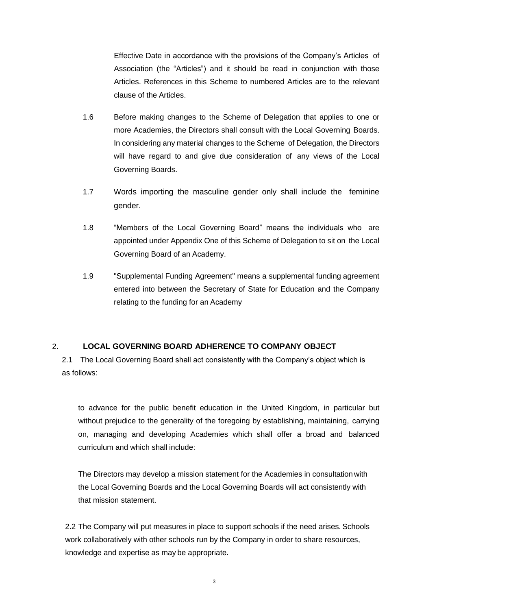Effective Date in accordance with the provisions of the Company's Articles of Association (the "Articles") and it should be read in conjunction with those Articles. References in this Scheme to numbered Articles are to the relevant clause of the Articles.

- 1.6 Before making changes to the Scheme of Delegation that applies to one or more Academies, the Directors shall consult with the Local Governing Boards. In considering any material changes to the Scheme of Delegation, the Directors will have regard to and give due consideration of any views of the Local Governing Boards.
- 1.7 Words importing the masculine gender only shall include the feminine gender.
- 1.8 "Members of the Local Governing Board" means the individuals who are appointed under Appendix One of this Scheme of Delegation to sit on the Local Governing Board of an Academy.
- 1.9 "Supplemental Funding Agreement" means a supplemental funding agreement entered into between the Secretary of State for Education and the Company relating to the funding for an Academy

# 2. **LOCAL GOVERNING BOARD ADHERENCE TO COMPANY OBJECT**

2.1 The Local Governing Board shall act consistently with the Company's object which is as follows:

to advance for the public benefit education in the United Kingdom, in particular but without prejudice to the generality of the foregoing by establishing, maintaining, carrying on, managing and developing Academies which shall offer a broad and balanced curriculum and which shall include:

The Directors may develop a mission statement for the Academies in consultationwith the Local Governing Boards and the Local Governing Boards will act consistently with that mission statement.

2.2 The Company will put measures in place to support schools if the need arises. Schools work collaboratively with other schools run by the Company in order to share resources, knowledge and expertise as may be appropriate.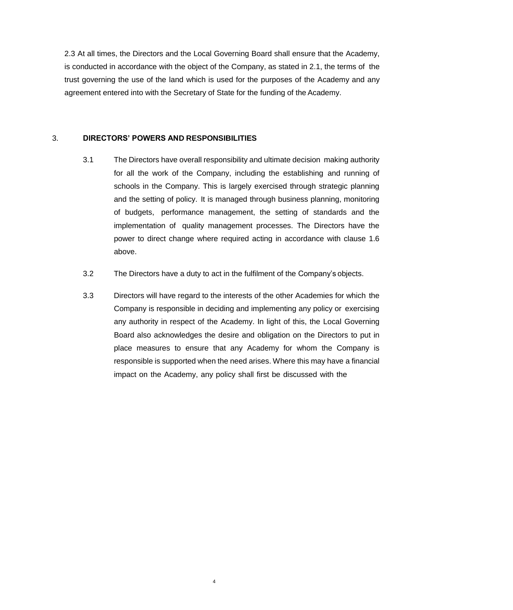2.3 At all times, the Directors and the Local Governing Board shall ensure that the Academy, is conducted in accordance with the object of the Company, as stated in 2.1, the terms of the trust governing the use of the land which is used for the purposes of the Academy and any agreement entered into with the Secretary of State for the funding of the Academy.

### 3. **DIRECTORS' POWERS AND RESPONSIBILITIES**

- 3.1 The Directors have overall responsibility and ultimate decision making authority for all the work of the Company, including the establishing and running of schools in the Company. This is largely exercised through strategic planning and the setting of policy. It is managed through business planning, monitoring of budgets, performance management, the setting of standards and the implementation of quality management processes. The Directors have the power to direct change where required acting in accordance with clause 1.6 above.
- 3.2 The Directors have a duty to act in the fulfilment of the Company's objects.
- 3.3 Directors will have regard to the interests of the other Academies for which the Company is responsible in deciding and implementing any policy or exercising any authority in respect of the Academy. In light of this, the Local Governing Board also acknowledges the desire and obligation on the Directors to put in place measures to ensure that any Academy for whom the Company is responsible is supported when the need arises. Where this may have a financial impact on the Academy, any policy shall first be discussed with the

4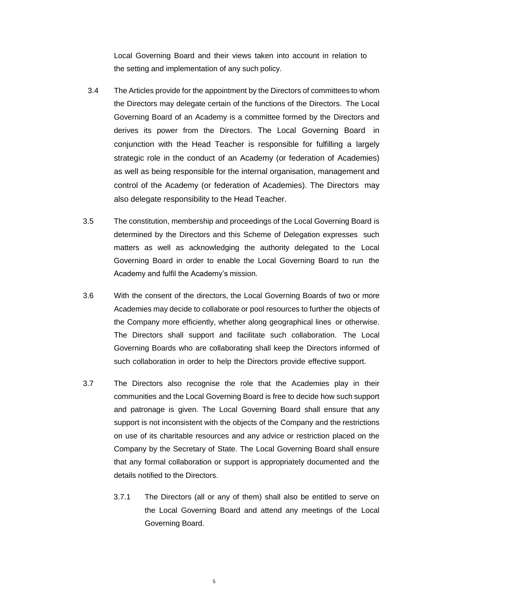Local Governing Board and their views taken into account in relation to the setting and implementation of any such policy.

- 3.4 The Articles provide for the appointment by the Directors of committees to whom the Directors may delegate certain of the functions of the Directors. The Local Governing Board of an Academy is a committee formed by the Directors and derives its power from the Directors. The Local Governing Board in conjunction with the Head Teacher is responsible for fulfilling a largely strategic role in the conduct of an Academy (or federation of Academies) as well as being responsible for the internal organisation, management and control of the Academy (or federation of Academies). The Directors may also delegate responsibility to the Head Teacher.
- 3.5 The constitution, membership and proceedings of the Local Governing Board is determined by the Directors and this Scheme of Delegation expresses such matters as well as acknowledging the authority delegated to the Local Governing Board in order to enable the Local Governing Board to run the Academy and fulfil the Academy's mission.
- 3.6 With the consent of the directors, the Local Governing Boards of two or more Academies may decide to collaborate or pool resources to further the objects of the Company more efficiently, whether along geographical lines or otherwise. The Directors shall support and facilitate such collaboration. The Local Governing Boards who are collaborating shall keep the Directors informed of such collaboration in order to help the Directors provide effective support.
- 3.7 The Directors also recognise the role that the Academies play in their communities and the Local Governing Board is free to decide how such support and patronage is given. The Local Governing Board shall ensure that any support is not inconsistent with the objects of the Company and the restrictions on use of its charitable resources and any advice or restriction placed on the Company by the Secretary of State. The Local Governing Board shall ensure that any formal collaboration or support is appropriately documented and the details notified to the Directors.
	- 3.7.1 The Directors (all or any of them) shall also be entitled to serve on the Local Governing Board and attend any meetings of the Local Governing Board.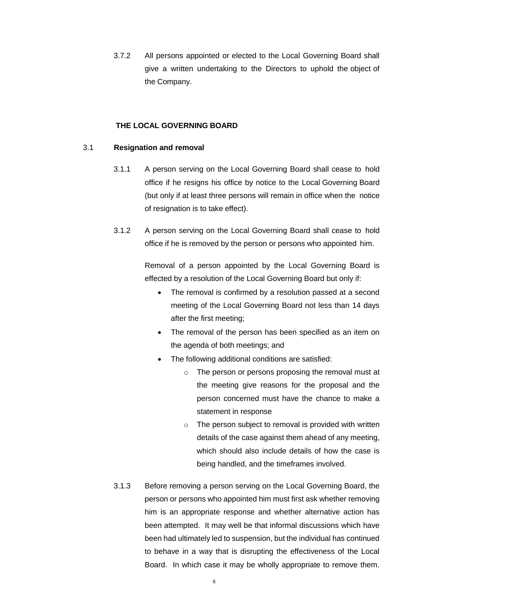3.7.2 All persons appointed or elected to the Local Governing Board shall give a written undertaking to the Directors to uphold the object of the Company.

#### **THE LOCAL GOVERNING BOARD**

#### 3.1 **Resignation and removal**

- 3.1.1 A person serving on the Local Governing Board shall cease to hold office if he resigns his office by notice to the Local Governing Board (but only if at least three persons will remain in office when the notice of resignation is to take effect).
- 3.1.2 A person serving on the Local Governing Board shall cease to hold office if he is removed by the person or persons who appointed him.

Removal of a person appointed by the Local Governing Board is effected by a resolution of the Local Governing Board but only if:

- The removal is confirmed by a resolution passed at a second meeting of the Local Governing Board not less than 14 days after the first meeting;
- The removal of the person has been specified as an item on the agenda of both meetings; and
- The following additional conditions are satisfied:
	- o The person or persons proposing the removal must at the meeting give reasons for the proposal and the person concerned must have the chance to make a statement in response
	- $\circ$  The person subject to removal is provided with written details of the case against them ahead of any meeting, which should also include details of how the case is being handled, and the timeframes involved.
- 3.1.3 Before removing a person serving on the Local Governing Board, the person or persons who appointed him must first ask whether removing him is an appropriate response and whether alternative action has been attempted. It may well be that informal discussions which have been had ultimately led to suspension, but the individual has continued to behave in a way that is disrupting the effectiveness of the Local Board. In which case it may be wholly appropriate to remove them.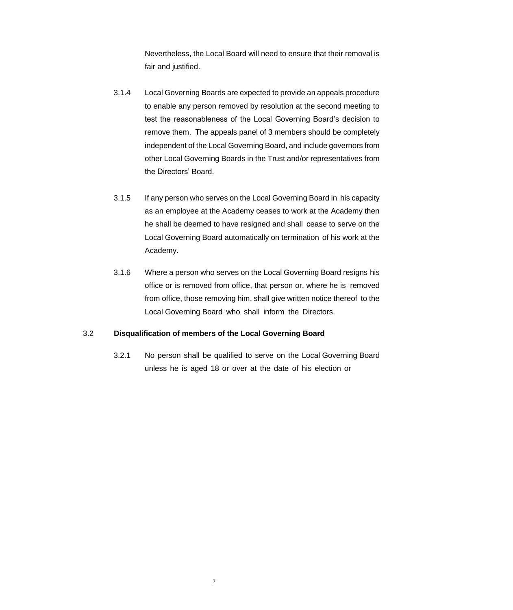Nevertheless, the Local Board will need to ensure that their removal is fair and justified.

- 3.1.4 Local Governing Boards are expected to provide an appeals procedure to enable any person removed by resolution at the second meeting to test the reasonableness of the Local Governing Board's decision to remove them. The appeals panel of 3 members should be completely independent of the Local Governing Board, and include governors from other Local Governing Boards in the Trust and/or representatives from the Directors' Board.
- 3.1.5 If any person who serves on the Local Governing Board in his capacity as an employee at the Academy ceases to work at the Academy then he shall be deemed to have resigned and shall cease to serve on the Local Governing Board automatically on termination of his work at the Academy.
- 3.1.6 Where a person who serves on the Local Governing Board resigns his office or is removed from office, that person or, where he is removed from office, those removing him, shall give written notice thereof to the Local Governing Board who shall inform the Directors.

# 3.2 **Disqualification of members of the Local Governing Board**

7

3.2.1 No person shall be qualified to serve on the Local Governing Board unless he is aged 18 or over at the date of his election or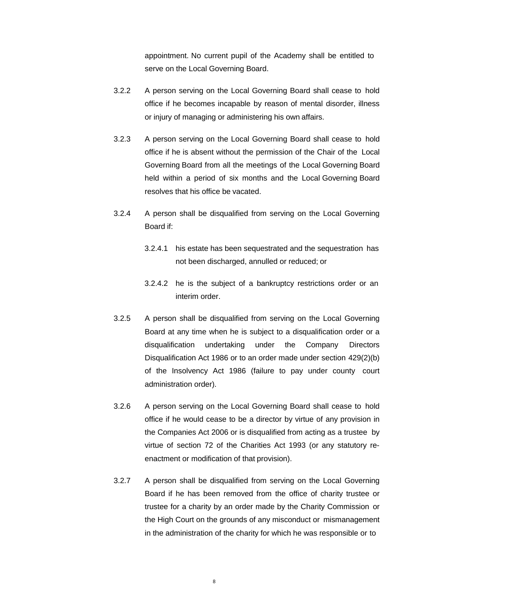appointment. No current pupil of the Academy shall be entitled to serve on the Local Governing Board.

- 3.2.2 A person serving on the Local Governing Board shall cease to hold office if he becomes incapable by reason of mental disorder, illness or injury of managing or administering his own affairs.
- 3.2.3 A person serving on the Local Governing Board shall cease to hold office if he is absent without the permission of the Chair of the Local Governing Board from all the meetings of the Local Governing Board held within a period of six months and the Local Governing Board resolves that his office be vacated.
- 3.2.4 A person shall be disqualified from serving on the Local Governing Board if:
	- 3.2.4.1 his estate has been sequestrated and the sequestration has not been discharged, annulled or reduced; or
	- 3.2.4.2 he is the subject of a bankruptcy restrictions order or an interim order.
- 3.2.5 A person shall be disqualified from serving on the Local Governing Board at any time when he is subject to a disqualification order or a disqualification undertaking under the Company Directors Disqualification Act 1986 or to an order made under section 429(2)(b) of the Insolvency Act 1986 (failure to pay under county court administration order).
- 3.2.6 A person serving on the Local Governing Board shall cease to hold office if he would cease to be a director by virtue of any provision in the Companies Act 2006 or is disqualified from acting as a trustee by virtue of section 72 of the Charities Act 1993 (or any statutory reenactment or modification of that provision).
- 3.2.7 A person shall be disqualified from serving on the Local Governing Board if he has been removed from the office of charity trustee or trustee for a charity by an order made by the Charity Commission or the High Court on the grounds of any misconduct or mismanagement in the administration of the charity for which he was responsible or to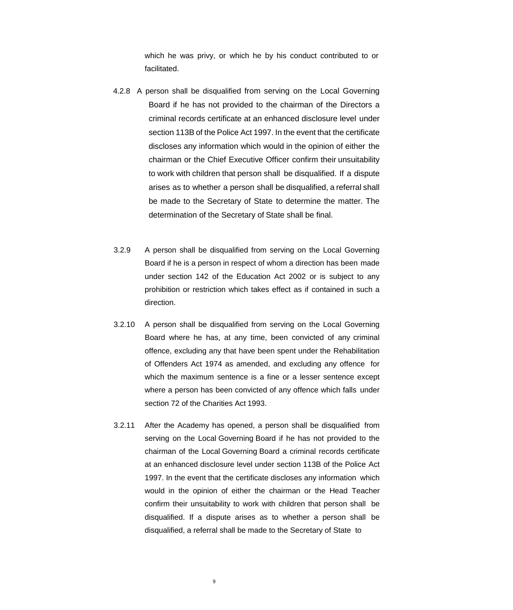which he was privy, or which he by his conduct contributed to or facilitated.

- 4.2.8 A person shall be disqualified from serving on the Local Governing Board if he has not provided to the chairman of the Directors a criminal records certificate at an enhanced disclosure level under section 113B of the Police Act 1997. In the event that the certificate discloses any information which would in the opinion of either the chairman or the Chief Executive Officer confirm their unsuitability to work with children that person shall be disqualified. If a dispute arises as to whether a person shall be disqualified, a referral shall be made to the Secretary of State to determine the matter. The determination of the Secretary of State shall be final.
- 3.2.9 A person shall be disqualified from serving on the Local Governing Board if he is a person in respect of whom a direction has been made under section 142 of the Education Act 2002 or is subject to any prohibition or restriction which takes effect as if contained in such a direction.
- 3.2.10 A person shall be disqualified from serving on the Local Governing Board where he has, at any time, been convicted of any criminal offence, excluding any that have been spent under the Rehabilitation of Offenders Act 1974 as amended, and excluding any offence for which the maximum sentence is a fine or a lesser sentence except where a person has been convicted of any offence which falls under section 72 of the Charities Act 1993.
- 3.2.11 After the Academy has opened, a person shall be disqualified from serving on the Local Governing Board if he has not provided to the chairman of the Local Governing Board a criminal records certificate at an enhanced disclosure level under section 113B of the Police Act 1997. In the event that the certificate discloses any information which would in the opinion of either the chairman or the Head Teacher confirm their unsuitability to work with children that person shall be disqualified. If a dispute arises as to whether a person shall be disqualified, a referral shall be made to the Secretary of State to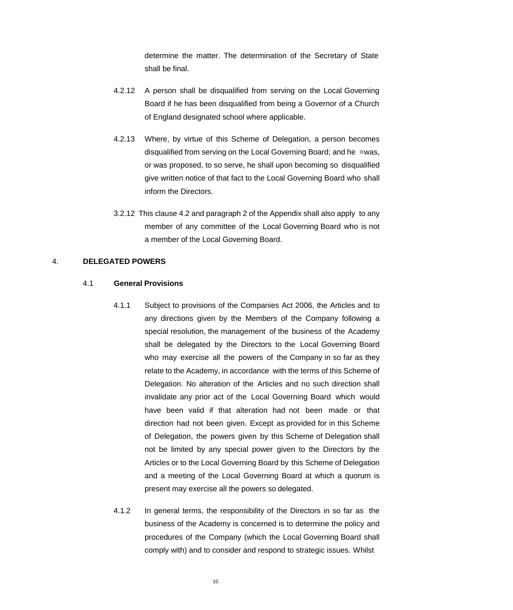determine the matter. The determination of the Secretary of State shall be final.

- 4.2.12 A person shall be disqualified from serving on the Local Governing Board if he has been disqualified from being a Governor of a Church of England designated school where applicable.
- 4.2.13 Where, by virtue of this Scheme of Delegation, a person becomes disqualified from serving on the Local Governing Board; and he =was, or was proposed, to so serve, he shall upon becoming so disqualified give written notice of that fact to the Local Governing Board who shall inform the Directors.
- 3.2.12 This clause 4.2 and paragraph 2 of the Appendix shall also apply to any member of any committee of the Local Governing Board who is not a member of the Local Governing Board.

# 4. **DELEGATED POWERS**

#### 4.1 **General Provisions**

- 4.1.1 Subject to provisions of the Companies Act 2006, the Articles and to any directions given by the Members of the Company following a special resolution, the management of the business of the Academy shall be delegated by the Directors to the Local Governing Board who may exercise all the powers of the Company in so far as they relate to the Academy, in accordance with the terms of this Scheme of Delegation. No alteration of the Articles and no such direction shall invalidate any prior act of the Local Governing Board which would have been valid if that alteration had not been made or that direction had not been given. Except as provided for in this Scheme of Delegation, the powers given by this Scheme of Delegation shall not be limited by any special power given to the Directors by the Articles or to the Local Governing Board by this Scheme of Delegation and a meeting of the Local Governing Board at which a quorum is present may exercise all the powers so delegated.
- 4.1.2 In general terms, the responsibility of the Directors in so far as the business of the Academy is concerned is to determine the policy and procedures of the Company (which the Local Governing Board shall comply with) and to consider and respond to strategic issues. Whilst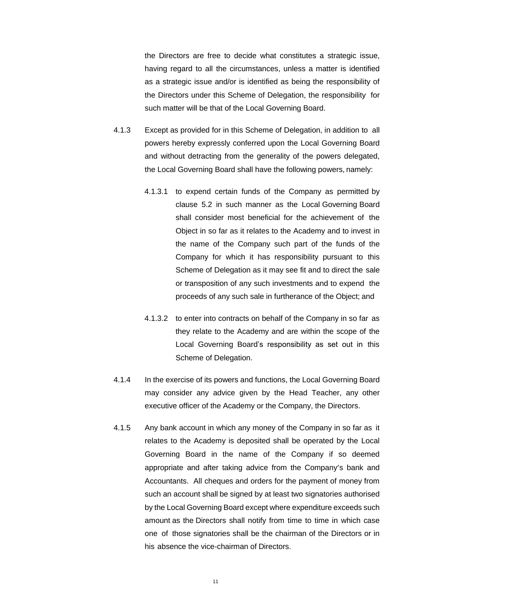the Directors are free to decide what constitutes a strategic issue, having regard to all the circumstances, unless a matter is identified as a strategic issue and/or is identified as being the responsibility of the Directors under this Scheme of Delegation, the responsibility for such matter will be that of the Local Governing Board.

- 4.1.3 Except as provided for in this Scheme of Delegation, in addition to all powers hereby expressly conferred upon the Local Governing Board and without detracting from the generality of the powers delegated, the Local Governing Board shall have the following powers, namely:
	- 4.1.3.1 to expend certain funds of the Company as permitted by clause 5.2 in such manner as the Local Governing Board shall consider most beneficial for the achievement of the Object in so far as it relates to the Academy and to invest in the name of the Company such part of the funds of the Company for which it has responsibility pursuant to this Scheme of Delegation as it may see fit and to direct the sale or transposition of any such investments and to expend the proceeds of any such sale in furtherance of the Object; and
	- 4.1.3.2 to enter into contracts on behalf of the Company in so far as they relate to the Academy and are within the scope of the Local Governing Board's responsibility as set out in this Scheme of Delegation.
- 4.1.4 In the exercise of its powers and functions, the Local Governing Board may consider any advice given by the Head Teacher, any other executive officer of the Academy or the Company, the Directors.
- 4.1.5 Any bank account in which any money of the Company in so far as it relates to the Academy is deposited shall be operated by the Local Governing Board in the name of the Company if so deemed appropriate and after taking advice from the Company's bank and Accountants. All cheques and orders for the payment of money from such an account shall be signed by at least two signatories authorised by the Local Governing Board except where expenditure exceeds such amount as the Directors shall notify from time to time in which case one of those signatories shall be the chairman of the Directors or in his absence the vice-chairman of Directors.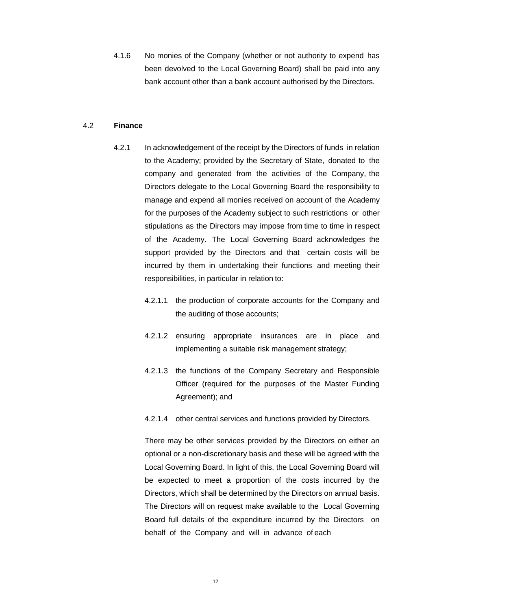4.1.6 No monies of the Company (whether or not authority to expend has been devolved to the Local Governing Board) shall be paid into any bank account other than a bank account authorised by the Directors.

#### 4.2 **Finance**

- 4.2.1 In acknowledgement of the receipt by the Directors of funds in relation to the Academy; provided by the Secretary of State, donated to the company and generated from the activities of the Company, the Directors delegate to the Local Governing Board the responsibility to manage and expend all monies received on account of the Academy for the purposes of the Academy subject to such restrictions or other stipulations as the Directors may impose from time to time in respect of the Academy. The Local Governing Board acknowledges the support provided by the Directors and that certain costs will be incurred by them in undertaking their functions and meeting their responsibilities, in particular in relation to:
	- 4.2.1.1 the production of corporate accounts for the Company and the auditing of those accounts;
	- 4.2.1.2 ensuring appropriate insurances are in place and implementing a suitable risk management strategy;
	- 4.2.1.3 the functions of the Company Secretary and Responsible Officer (required for the purposes of the Master Funding Agreement); and
	- 4.2.1.4 other central services and functions provided by Directors.

There may be other services provided by the Directors on either an optional or a non-discretionary basis and these will be agreed with the Local Governing Board. In light of this, the Local Governing Board will be expected to meet a proportion of the costs incurred by the Directors, which shall be determined by the Directors on annual basis. The Directors will on request make available to the Local Governing Board full details of the expenditure incurred by the Directors on behalf of the Company and will in advance of each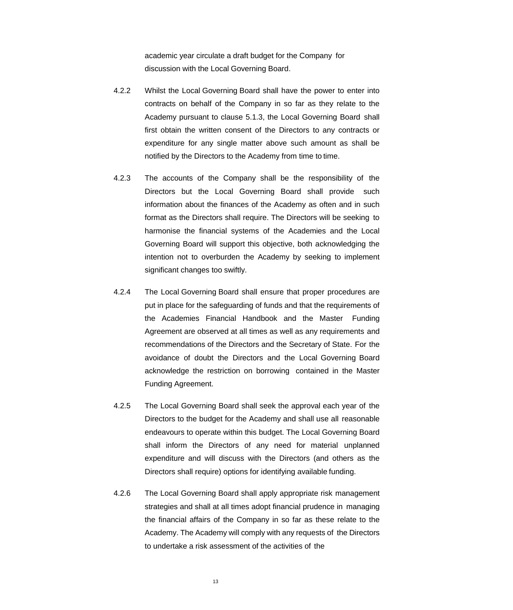academic year circulate a draft budget for the Company for discussion with the Local Governing Board.

- 4.2.2 Whilst the Local Governing Board shall have the power to enter into contracts on behalf of the Company in so far as they relate to the Academy pursuant to clause 5.1.3, the Local Governing Board shall first obtain the written consent of the Directors to any contracts or expenditure for any single matter above such amount as shall be notified by the Directors to the Academy from time to time.
- 4.2.3 The accounts of the Company shall be the responsibility of the Directors but the Local Governing Board shall provide such information about the finances of the Academy as often and in such format as the Directors shall require. The Directors will be seeking to harmonise the financial systems of the Academies and the Local Governing Board will support this objective, both acknowledging the intention not to overburden the Academy by seeking to implement significant changes too swiftly.
- 4.2.4 The Local Governing Board shall ensure that proper procedures are put in place for the safeguarding of funds and that the requirements of the Academies Financial Handbook and the Master Funding Agreement are observed at all times as well as any requirements and recommendations of the Directors and the Secretary of State. For the avoidance of doubt the Directors and the Local Governing Board acknowledge the restriction on borrowing contained in the Master Funding Agreement.
- 4.2.5 The Local Governing Board shall seek the approval each year of the Directors to the budget for the Academy and shall use all reasonable endeavours to operate within this budget. The Local Governing Board shall inform the Directors of any need for material unplanned expenditure and will discuss with the Directors (and others as the Directors shall require) options for identifying available funding.
- 4.2.6 The Local Governing Board shall apply appropriate risk management strategies and shall at all times adopt financial prudence in managing the financial affairs of the Company in so far as these relate to the Academy. The Academy will comply with any requests of the Directors to undertake a risk assessment of the activities of the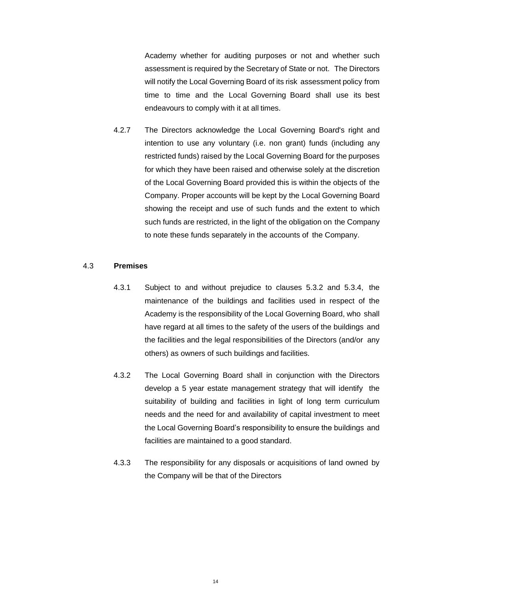Academy whether for auditing purposes or not and whether such assessment is required by the Secretary of State or not. The Directors will notify the Local Governing Board of its risk assessment policy from time to time and the Local Governing Board shall use its best endeavours to comply with it at all times.

4.2.7 The Directors acknowledge the Local Governing Board's right and intention to use any voluntary (i.e. non grant) funds (including any restricted funds) raised by the Local Governing Board for the purposes for which they have been raised and otherwise solely at the discretion of the Local Governing Board provided this is within the objects of the Company. Proper accounts will be kept by the Local Governing Board showing the receipt and use of such funds and the extent to which such funds are restricted, in the light of the obligation on the Company to note these funds separately in the accounts of the Company.

# 4.3 **Premises**

- 4.3.1 Subject to and without prejudice to clauses 5.3.2 and 5.3.4, the maintenance of the buildings and facilities used in respect of the Academy is the responsibility of the Local Governing Board, who shall have regard at all times to the safety of the users of the buildings and the facilities and the legal responsibilities of the Directors (and/or any others) as owners of such buildings and facilities.
- 4.3.2 The Local Governing Board shall in conjunction with the Directors develop a 5 year estate management strategy that will identify the suitability of building and facilities in light of long term curriculum needs and the need for and availability of capital investment to meet the Local Governing Board's responsibility to ensure the buildings and facilities are maintained to a good standard.
- 4.3.3 The responsibility for any disposals or acquisitions of land owned by the Company will be that of the Directors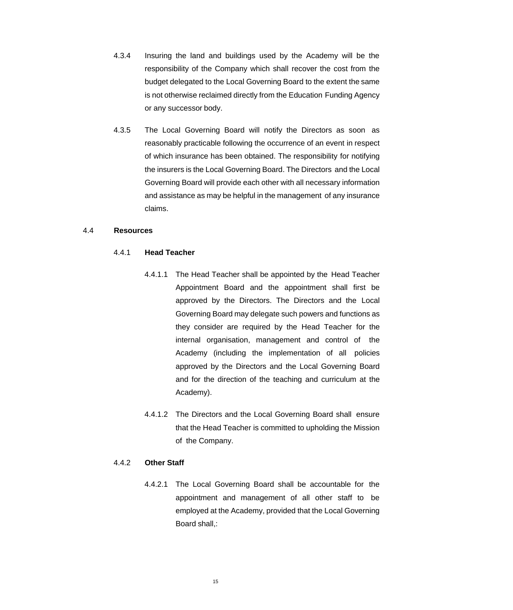- 4.3.4 Insuring the land and buildings used by the Academy will be the responsibility of the Company which shall recover the cost from the budget delegated to the Local Governing Board to the extent the same is not otherwise reclaimed directly from the Education Funding Agency or any successor body.
- 4.3.5 The Local Governing Board will notify the Directors as soon as reasonably practicable following the occurrence of an event in respect of which insurance has been obtained. The responsibility for notifying the insurers is the Local Governing Board. The Directors and the Local Governing Board will provide each other with all necessary information and assistance as may be helpful in the management of any insurance claims.

#### 4.4 **Resources**

#### 4.4.1 **Head Teacher**

- 4.4.1.1 The Head Teacher shall be appointed by the Head Teacher Appointment Board and the appointment shall first be approved by the Directors. The Directors and the Local Governing Board may delegate such powers and functions as they consider are required by the Head Teacher for the internal organisation, management and control of the Academy (including the implementation of all policies approved by the Directors and the Local Governing Board and for the direction of the teaching and curriculum at the Academy).
- 4.4.1.2 The Directors and the Local Governing Board shall ensure that the Head Teacher is committed to upholding the Mission of the Company.

# 4.4.2 **Other Staff**

4.4.2.1 The Local Governing Board shall be accountable for the appointment and management of all other staff to be employed at the Academy, provided that the Local Governing Board shall,: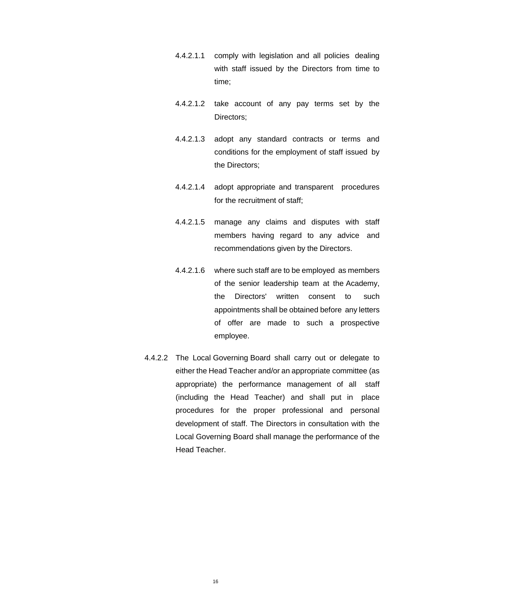- 4.4.2.1.1 comply with legislation and all policies dealing with staff issued by the Directors from time to time;
- 4.4.2.1.2 take account of any pay terms set by the Directors;
- 4.4.2.1.3 adopt any standard contracts or terms and conditions for the employment of staff issued by the Directors;
- 4.4.2.1.4 adopt appropriate and transparent procedures for the recruitment of staff;
- 4.4.2.1.5 manage any claims and disputes with staff members having regard to any advice and recommendations given by the Directors.
- 4.4.2.1.6 where such staff are to be employed as members of the senior leadership team at the Academy, the Directors' written consent to such appointments shall be obtained before any letters of offer are made to such a prospective employee.
- 4.4.2.2 The Local Governing Board shall carry out or delegate to either the Head Teacher and/or an appropriate committee (as appropriate) the performance management of all staff (including the Head Teacher) and shall put in place procedures for the proper professional and personal development of staff. The Directors in consultation with the Local Governing Board shall manage the performance of the Head Teacher.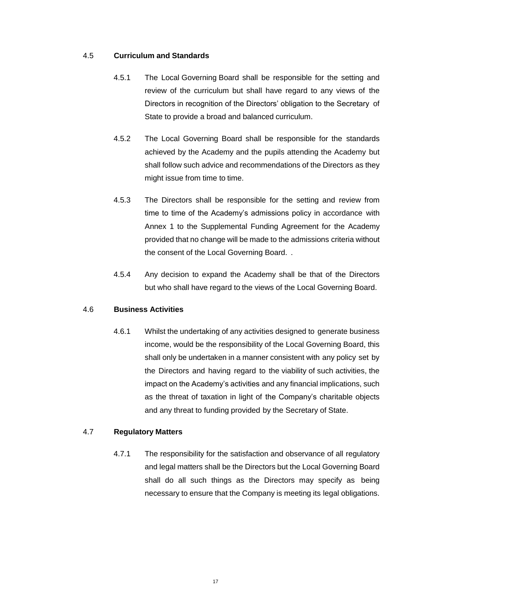#### 4.5 **Curriculum and Standards**

- 4.5.1 The Local Governing Board shall be responsible for the setting and review of the curriculum but shall have regard to any views of the Directors in recognition of the Directors' obligation to the Secretary of State to provide a broad and balanced curriculum.
- 4.5.2 The Local Governing Board shall be responsible for the standards achieved by the Academy and the pupils attending the Academy but shall follow such advice and recommendations of the Directors as they might issue from time to time.
- 4.5.3 The Directors shall be responsible for the setting and review from time to time of the Academy's admissions policy in accordance with Annex 1 to the Supplemental Funding Agreement for the Academy provided that no change will be made to the admissions criteria without the consent of the Local Governing Board. .
- 4.5.4 Any decision to expand the Academy shall be that of the Directors but who shall have regard to the views of the Local Governing Board.

#### 4.6 **Business Activities**

4.6.1 Whilst the undertaking of any activities designed to generate business income, would be the responsibility of the Local Governing Board, this shall only be undertaken in a manner consistent with any policy set by the Directors and having regard to the viability of such activities, the impact on the Academy's activities and any financial implications, such as the threat of taxation in light of the Company's charitable objects and any threat to funding provided by the Secretary of State.

# 4.7 **Regulatory Matters**

4.7.1 The responsibility for the satisfaction and observance of all regulatory and legal matters shall be the Directors but the Local Governing Board shall do all such things as the Directors may specify as being necessary to ensure that the Company is meeting its legal obligations.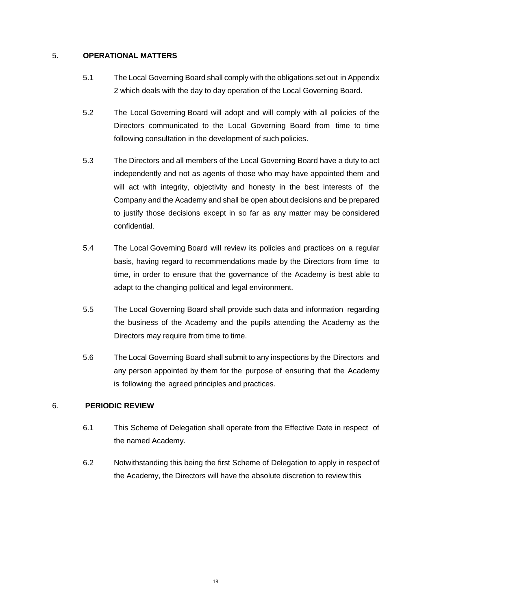# 5. **OPERATIONAL MATTERS**

- 5.1 The Local Governing Board shall comply with the obligations set out in Appendix 2 which deals with the day to day operation of the Local Governing Board.
- 5.2 The Local Governing Board will adopt and will comply with all policies of the Directors communicated to the Local Governing Board from time to time following consultation in the development of such policies.
- 5.3 The Directors and all members of the Local Governing Board have a duty to act independently and not as agents of those who may have appointed them and will act with integrity, objectivity and honesty in the best interests of the Company and the Academy and shall be open about decisions and be prepared to justify those decisions except in so far as any matter may be considered confidential.
- 5.4 The Local Governing Board will review its policies and practices on a regular basis, having regard to recommendations made by the Directors from time to time, in order to ensure that the governance of the Academy is best able to adapt to the changing political and legal environment.
- 5.5 The Local Governing Board shall provide such data and information regarding the business of the Academy and the pupils attending the Academy as the Directors may require from time to time.
- 5.6 The Local Governing Board shall submit to any inspections by the Directors and any person appointed by them for the purpose of ensuring that the Academy is following the agreed principles and practices.

# 6. **PERIODIC REVIEW**

- 6.1 This Scheme of Delegation shall operate from the Effective Date in respect of the named Academy.
- 6.2 Notwithstanding this being the first Scheme of Delegation to apply in respect of the Academy, the Directors will have the absolute discretion to review this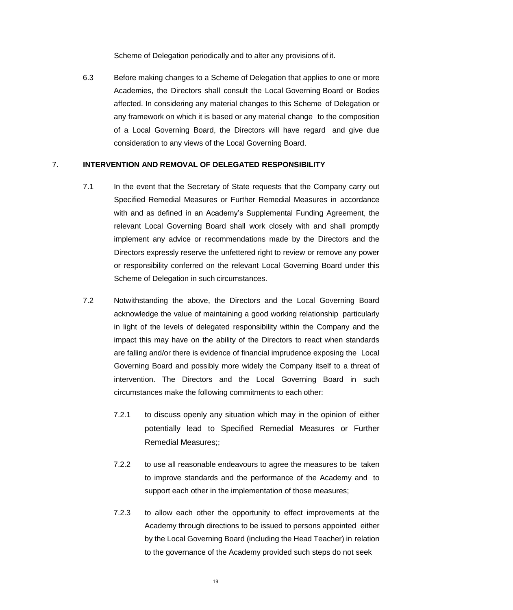Scheme of Delegation periodically and to alter any provisions of it.

6.3 Before making changes to a Scheme of Delegation that applies to one or more Academies, the Directors shall consult the Local Governing Board or Bodies affected. In considering any material changes to this Scheme of Delegation or any framework on which it is based or any material change to the composition of a Local Governing Board, the Directors will have regard and give due consideration to any views of the Local Governing Board.

## 7. **INTERVENTION AND REMOVAL OF DELEGATED RESPONSIBILITY**

- 7.1 In the event that the Secretary of State requests that the Company carry out Specified Remedial Measures or Further Remedial Measures in accordance with and as defined in an Academy's Supplemental Funding Agreement, the relevant Local Governing Board shall work closely with and shall promptly implement any advice or recommendations made by the Directors and the Directors expressly reserve the unfettered right to review or remove any power or responsibility conferred on the relevant Local Governing Board under this Scheme of Delegation in such circumstances.
- 7.2 Notwithstanding the above, the Directors and the Local Governing Board acknowledge the value of maintaining a good working relationship particularly in light of the levels of delegated responsibility within the Company and the impact this may have on the ability of the Directors to react when standards are falling and/or there is evidence of financial imprudence exposing the Local Governing Board and possibly more widely the Company itself to a threat of intervention. The Directors and the Local Governing Board in such circumstances make the following commitments to each other:
	- 7.2.1 to discuss openly any situation which may in the opinion of either potentially lead to Specified Remedial Measures or Further Remedial Measures;;
	- 7.2.2 to use all reasonable endeavours to agree the measures to be taken to improve standards and the performance of the Academy and to support each other in the implementation of those measures;
	- 7.2.3 to allow each other the opportunity to effect improvements at the Academy through directions to be issued to persons appointed either by the Local Governing Board (including the Head Teacher) in relation to the governance of the Academy provided such steps do not seek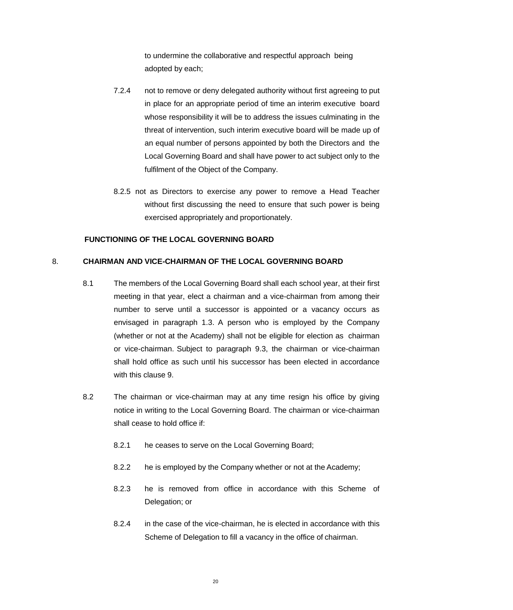to undermine the collaborative and respectful approach being adopted by each;

- 7.2.4 not to remove or deny delegated authority without first agreeing to put in place for an appropriate period of time an interim executive board whose responsibility it will be to address the issues culminating in the threat of intervention, such interim executive board will be made up of an equal number of persons appointed by both the Directors and the Local Governing Board and shall have power to act subject only to the fulfilment of the Object of the Company.
- 8.2.5 not as Directors to exercise any power to remove a Head Teacher without first discussing the need to ensure that such power is being exercised appropriately and proportionately.

#### **FUNCTIONING OF THE LOCAL GOVERNING BOARD**

#### 8. **CHAIRMAN AND VICE-CHAIRMAN OF THE LOCAL GOVERNING BOARD**

- 8.1 The members of the Local Governing Board shall each school year, at their first meeting in that year, elect a chairman and a vice-chairman from among their number to serve until a successor is appointed or a vacancy occurs as envisaged in paragraph 1.3. A person who is employed by the Company (whether or not at the Academy) shall not be eligible for election as chairman or vice-chairman. Subject to paragraph 9.3, the chairman or vice-chairman shall hold office as such until his successor has been elected in accordance with this clause 9.
- 8.2 The chairman or vice-chairman may at any time resign his office by giving notice in writing to the Local Governing Board. The chairman or vice-chairman shall cease to hold office if:
	- 8.2.1 he ceases to serve on the Local Governing Board;
	- 8.2.2 he is employed by the Company whether or not at the Academy;
	- 8.2.3 he is removed from office in accordance with this Scheme of Delegation; or
	- 8.2.4 in the case of the vice-chairman, he is elected in accordance with this Scheme of Delegation to fill a vacancy in the office of chairman.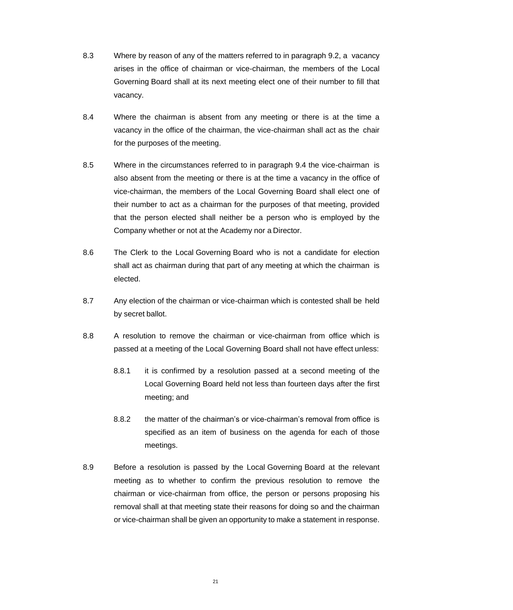- 8.3 Where by reason of any of the matters referred to in paragraph 9.2, a vacancy arises in the office of chairman or vice-chairman, the members of the Local Governing Board shall at its next meeting elect one of their number to fill that vacancy.
- 8.4 Where the chairman is absent from any meeting or there is at the time a vacancy in the office of the chairman, the vice-chairman shall act as the chair for the purposes of the meeting.
- 8.5 Where in the circumstances referred to in paragraph 9.4 the vice-chairman is also absent from the meeting or there is at the time a vacancy in the office of vice-chairman, the members of the Local Governing Board shall elect one of their number to act as a chairman for the purposes of that meeting, provided that the person elected shall neither be a person who is employed by the Company whether or not at the Academy nor a Director.
- 8.6 The Clerk to the Local Governing Board who is not a candidate for election shall act as chairman during that part of any meeting at which the chairman is elected.
- 8.7 Any election of the chairman or vice-chairman which is contested shall be held by secret ballot.
- 8.8 A resolution to remove the chairman or vice-chairman from office which is passed at a meeting of the Local Governing Board shall not have effect unless:
	- 8.8.1 it is confirmed by a resolution passed at a second meeting of the Local Governing Board held not less than fourteen days after the first meeting; and
	- 8.8.2 the matter of the chairman's or vice-chairman's removal from office is specified as an item of business on the agenda for each of those meetings.
- 8.9 Before a resolution is passed by the Local Governing Board at the relevant meeting as to whether to confirm the previous resolution to remove the chairman or vice-chairman from office, the person or persons proposing his removal shall at that meeting state their reasons for doing so and the chairman or vice-chairman shall be given an opportunity to make a statement in response.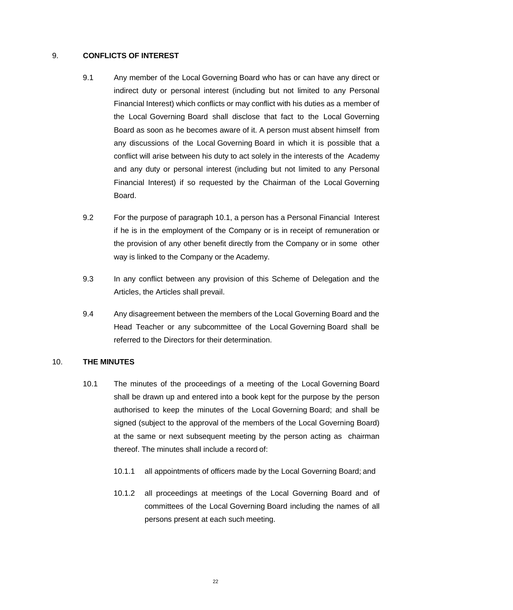# 9. **CONFLICTS OF INTEREST**

- 9.1 Any member of the Local Governing Board who has or can have any direct or indirect duty or personal interest (including but not limited to any Personal Financial Interest) which conflicts or may conflict with his duties as a member of the Local Governing Board shall disclose that fact to the Local Governing Board as soon as he becomes aware of it. A person must absent himself from any discussions of the Local Governing Board in which it is possible that a conflict will arise between his duty to act solely in the interests of the Academy and any duty or personal interest (including but not limited to any Personal Financial Interest) if so requested by the Chairman of the Local Governing Board.
- 9.2 For the purpose of paragraph 10.1, a person has a Personal Financial Interest if he is in the employment of the Company or is in receipt of remuneration or the provision of any other benefit directly from the Company or in some other way is linked to the Company or the Academy.
- 9.3 In any conflict between any provision of this Scheme of Delegation and the Articles, the Articles shall prevail.
- 9.4 Any disagreement between the members of the Local Governing Board and the Head Teacher or any subcommittee of the Local Governing Board shall be referred to the Directors for their determination.

# 10. **THE MINUTES**

- 10.1 The minutes of the proceedings of a meeting of the Local Governing Board shall be drawn up and entered into a book kept for the purpose by the person authorised to keep the minutes of the Local Governing Board; and shall be signed (subject to the approval of the members of the Local Governing Board) at the same or next subsequent meeting by the person acting as chairman thereof. The minutes shall include a record of:
	- 10.1.1 all appointments of officers made by the Local Governing Board; and
	- 10.1.2 all proceedings at meetings of the Local Governing Board and of committees of the Local Governing Board including the names of all persons present at each such meeting.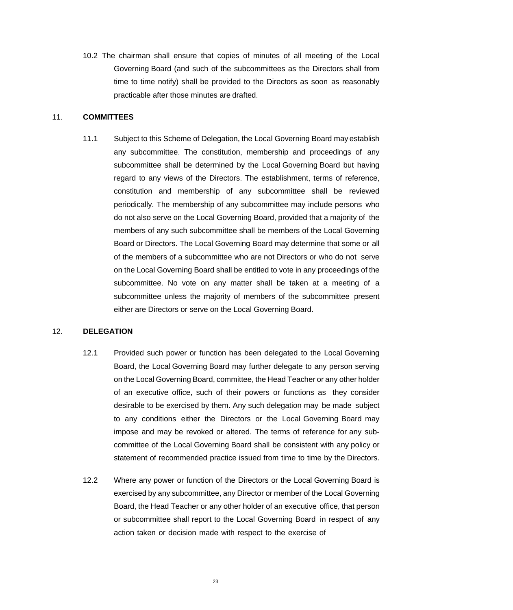10.2 The chairman shall ensure that copies of minutes of all meeting of the Local Governing Board (and such of the subcommittees as the Directors shall from time to time notify) shall be provided to the Directors as soon as reasonably practicable after those minutes are drafted.

#### 11. **COMMITTEES**

11.1 Subject to this Scheme of Delegation, the Local Governing Board may establish any subcommittee. The constitution, membership and proceedings of any subcommittee shall be determined by the Local Governing Board but having regard to any views of the Directors. The establishment, terms of reference, constitution and membership of any subcommittee shall be reviewed periodically. The membership of any subcommittee may include persons who do not also serve on the Local Governing Board, provided that a majority of the members of any such subcommittee shall be members of the Local Governing Board or Directors. The Local Governing Board may determine that some or all of the members of a subcommittee who are not Directors or who do not serve on the Local Governing Board shall be entitled to vote in any proceedings of the subcommittee. No vote on any matter shall be taken at a meeting of a subcommittee unless the majority of members of the subcommittee present either are Directors or serve on the Local Governing Board.

#### 12. **DELEGATION**

- 12.1 Provided such power or function has been delegated to the Local Governing Board, the Local Governing Board may further delegate to any person serving on the Local Governing Board, committee, the Head Teacher or any other holder of an executive office, such of their powers or functions as they consider desirable to be exercised by them. Any such delegation may be made subject to any conditions either the Directors or the Local Governing Board may impose and may be revoked or altered. The terms of reference for any subcommittee of the Local Governing Board shall be consistent with any policy or statement of recommended practice issued from time to time by the Directors.
- 12.2 Where any power or function of the Directors or the Local Governing Board is exercised by any subcommittee, any Director or member of the Local Governing Board, the Head Teacher or any other holder of an executive office, that person or subcommittee shall report to the Local Governing Board in respect of any action taken or decision made with respect to the exercise of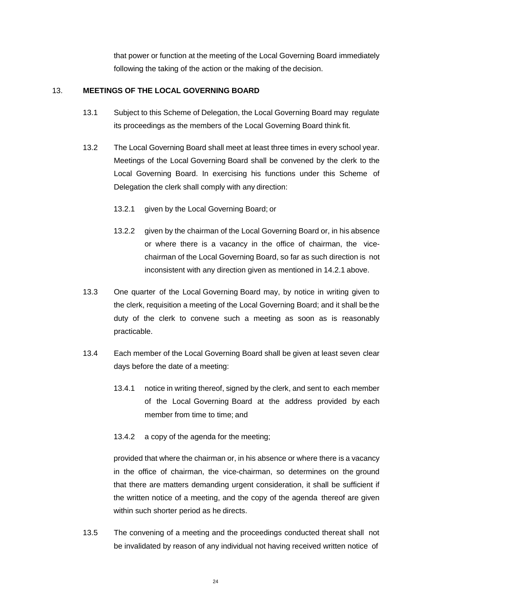that power or function at the meeting of the Local Governing Board immediately following the taking of the action or the making of the decision.

# 13. **MEETINGS OF THE LOCAL GOVERNING BOARD**

- 13.1 Subject to this Scheme of Delegation, the Local Governing Board may regulate its proceedings as the members of the Local Governing Board think fit.
- 13.2 The Local Governing Board shall meet at least three times in every school year. Meetings of the Local Governing Board shall be convened by the clerk to the Local Governing Board. In exercising his functions under this Scheme of Delegation the clerk shall comply with any direction:
	- 13.2.1 given by the Local Governing Board; or
	- 13.2.2 given by the chairman of the Local Governing Board or, in his absence or where there is a vacancy in the office of chairman, the vicechairman of the Local Governing Board, so far as such direction is not inconsistent with any direction given as mentioned in 14.2.1 above.
- 13.3 One quarter of the Local Governing Board may, by notice in writing given to the clerk, requisition a meeting of the Local Governing Board; and it shall be the duty of the clerk to convene such a meeting as soon as is reasonably practicable.
- 13.4 Each member of the Local Governing Board shall be given at least seven clear days before the date of a meeting:
	- 13.4.1 notice in writing thereof, signed by the clerk, and sent to each member of the Local Governing Board at the address provided by each member from time to time; and
	- 13.4.2 a copy of the agenda for the meeting;

provided that where the chairman or, in his absence or where there is a vacancy in the office of chairman, the vice-chairman, so determines on the ground that there are matters demanding urgent consideration, it shall be sufficient if the written notice of a meeting, and the copy of the agenda thereof are given within such shorter period as he directs.

13.5 The convening of a meeting and the proceedings conducted thereat shall not be invalidated by reason of any individual not having received written notice of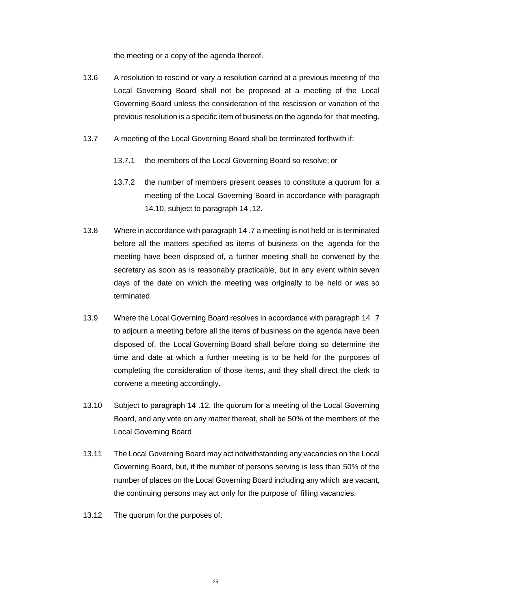the meeting or a copy of the agenda thereof.

- 13.6 A resolution to rescind or vary a resolution carried at a previous meeting of the Local Governing Board shall not be proposed at a meeting of the Local Governing Board unless the consideration of the rescission or variation of the previous resolution is a specific item of business on the agenda for that meeting.
- 13.7 A meeting of the Local Governing Board shall be terminated forthwith if:
	- 13.7.1 the members of the Local Governing Board so resolve; or
	- 13.7.2 the number of members present ceases to constitute a quorum for a meeting of the Local Governing Board in accordance with paragraph 14.10, subject to paragraph 14 .12.
- 13.8 Where in accordance with paragraph 14 .7 a meeting is not held or is terminated before all the matters specified as items of business on the agenda for the meeting have been disposed of, a further meeting shall be convened by the secretary as soon as is reasonably practicable, but in any event within seven days of the date on which the meeting was originally to be held or was so terminated.
- 13.9 Where the Local Governing Board resolves in accordance with paragraph 14 .7 to adjourn a meeting before all the items of business on the agenda have been disposed of, the Local Governing Board shall before doing so determine the time and date at which a further meeting is to be held for the purposes of completing the consideration of those items, and they shall direct the clerk to convene a meeting accordingly.
- 13.10 Subject to paragraph 14 .12, the quorum for a meeting of the Local Governing Board, and any vote on any matter thereat, shall be 50% of the members of the Local Governing Board
- 13.11 The Local Governing Board may act notwithstanding any vacancies on the Local Governing Board, but, if the number of persons serving is less than 50% of the number of places on the Local Governing Board including any which are vacant, the continuing persons may act only for the purpose of filling vacancies.
- 13.12 The quorum for the purposes of: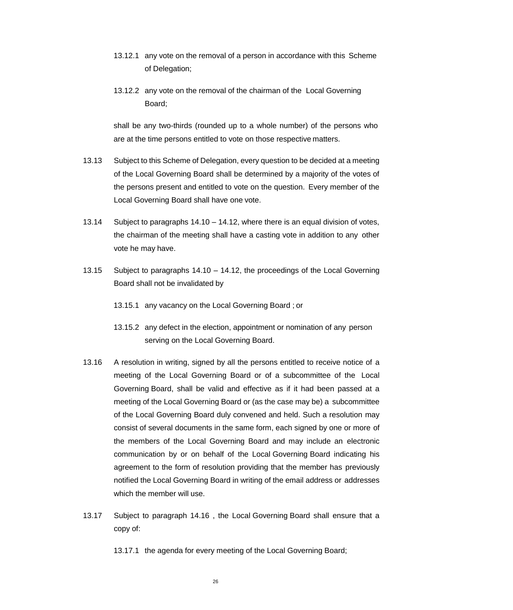- 13.12.1 any vote on the removal of a person in accordance with this Scheme of Delegation;
- 13.12.2 any vote on the removal of the chairman of the Local Governing Board;

shall be any two-thirds (rounded up to a whole number) of the persons who are at the time persons entitled to vote on those respective matters.

- 13.13 Subject to this Scheme of Delegation, every question to be decided at a meeting of the Local Governing Board shall be determined by a majority of the votes of the persons present and entitled to vote on the question. Every member of the Local Governing Board shall have one vote.
- 13.14 Subject to paragraphs 14.10 14.12, where there is an equal division of votes, the chairman of the meeting shall have a casting vote in addition to any other vote he may have.
- 13.15 Subject to paragraphs 14.10 14.12, the proceedings of the Local Governing Board shall not be invalidated by
	- 13.15.1 any vacancy on the Local Governing Board ; or
	- 13.15.2 any defect in the election, appointment or nomination of any person serving on the Local Governing Board.
- 13.16 A resolution in writing, signed by all the persons entitled to receive notice of a meeting of the Local Governing Board or of a subcommittee of the Local Governing Board, shall be valid and effective as if it had been passed at a meeting of the Local Governing Board or (as the case may be) a subcommittee of the Local Governing Board duly convened and held. Such a resolution may consist of several documents in the same form, each signed by one or more of the members of the Local Governing Board and may include an electronic communication by or on behalf of the Local Governing Board indicating his agreement to the form of resolution providing that the member has previously notified the Local Governing Board in writing of the email address or addresses which the member will use.
- 13.17 Subject to paragraph 14.16 , the Local Governing Board shall ensure that a copy of:
	- 13.17.1 the agenda for every meeting of the Local Governing Board;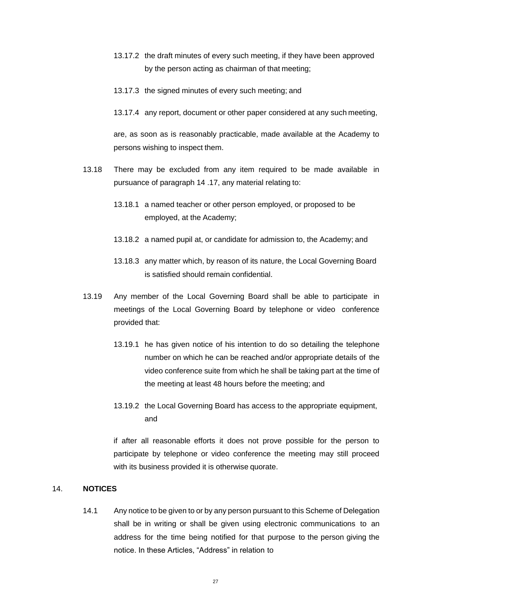- 13.17.2 the draft minutes of every such meeting, if they have been approved by the person acting as chairman of that meeting;
- 13.17.3 the signed minutes of every such meeting; and
- 13.17.4 any report, document or other paper considered at any such meeting,

are, as soon as is reasonably practicable, made available at the Academy to persons wishing to inspect them.

- 13.18 There may be excluded from any item required to be made available in pursuance of paragraph 14 .17, any material relating to:
	- 13.18.1 a named teacher or other person employed, or proposed to be employed, at the Academy;
	- 13.18.2 a named pupil at, or candidate for admission to, the Academy; and
	- 13.18.3 any matter which, by reason of its nature, the Local Governing Board is satisfied should remain confidential.
- 13.19 Any member of the Local Governing Board shall be able to participate in meetings of the Local Governing Board by telephone or video conference provided that:
	- 13.19.1 he has given notice of his intention to do so detailing the telephone number on which he can be reached and/or appropriate details of the video conference suite from which he shall be taking part at the time of the meeting at least 48 hours before the meeting; and
	- 13.19.2 the Local Governing Board has access to the appropriate equipment, and

if after all reasonable efforts it does not prove possible for the person to participate by telephone or video conference the meeting may still proceed with its business provided it is otherwise quorate.

# 14. **NOTICES**

14.1 Any notice to be given to or by any person pursuant to this Scheme of Delegation shall be in writing or shall be given using electronic communications to an address for the time being notified for that purpose to the person giving the notice. In these Articles, "Address" in relation to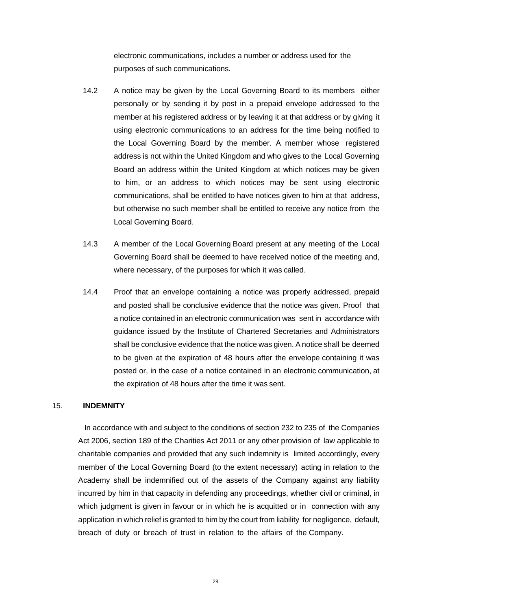electronic communications, includes a number or address used for the purposes of such communications.

- 14.2 A notice may be given by the Local Governing Board to its members either personally or by sending it by post in a prepaid envelope addressed to the member at his registered address or by leaving it at that address or by giving it using electronic communications to an address for the time being notified to the Local Governing Board by the member. A member whose registered address is not within the United Kingdom and who gives to the Local Governing Board an address within the United Kingdom at which notices may be given to him, or an address to which notices may be sent using electronic communications, shall be entitled to have notices given to him at that address, but otherwise no such member shall be entitled to receive any notice from the Local Governing Board.
- 14.3 A member of the Local Governing Board present at any meeting of the Local Governing Board shall be deemed to have received notice of the meeting and, where necessary, of the purposes for which it was called.
- 14.4 Proof that an envelope containing a notice was properly addressed, prepaid and posted shall be conclusive evidence that the notice was given. Proof that a notice contained in an electronic communication was sent in accordance with guidance issued by the Institute of Chartered Secretaries and Administrators shall be conclusive evidence that the notice was given. A notice shall be deemed to be given at the expiration of 48 hours after the envelope containing it was posted or, in the case of a notice contained in an electronic communication, at the expiration of 48 hours after the time it was sent.

### 15. **INDEMNITY**

In accordance with and subject to the conditions of section 232 to 235 of the Companies Act 2006, section 189 of the Charities Act 2011 or any other provision of law applicable to charitable companies and provided that any such indemnity is limited accordingly, every member of the Local Governing Board (to the extent necessary) acting in relation to the Academy shall be indemnified out of the assets of the Company against any liability incurred by him in that capacity in defending any proceedings, whether civil or criminal, in which judgment is given in favour or in which he is acquitted or in connection with any application in which relief is granted to him by the court from liability for negligence, default, breach of duty or breach of trust in relation to the affairs of the Company.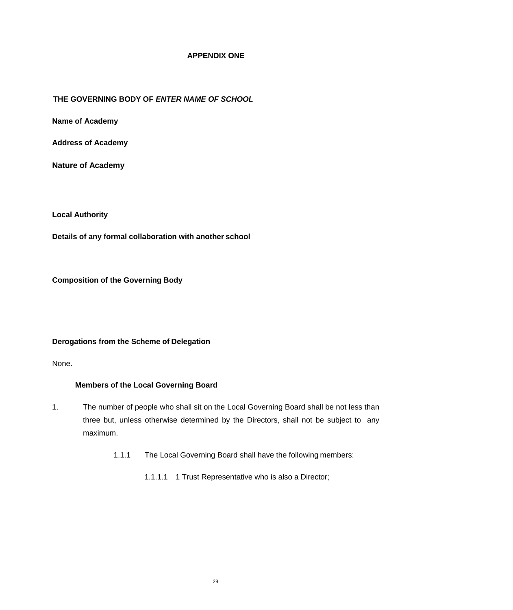### **APPENDIX ONE**

# **THE GOVERNING BODY OF** *ENTER NAME OF SCHOOL*

**Name of Academy** 

**Address of Academy**

**Nature of Academy**

**Local Authority**

**Details of any formal collaboration with another school**

**Composition of the Governing Body**

### **Derogations from the Scheme of Delegation**

None.

# **Members of the Local Governing Board**

- 1. The number of people who shall sit on the Local Governing Board shall be not less than three but, unless otherwise determined by the Directors, shall not be subject to any maximum.
	- 1.1.1 The Local Governing Board shall have the following members:
		- 1.1.1.1 1 Trust Representative who is also a Director;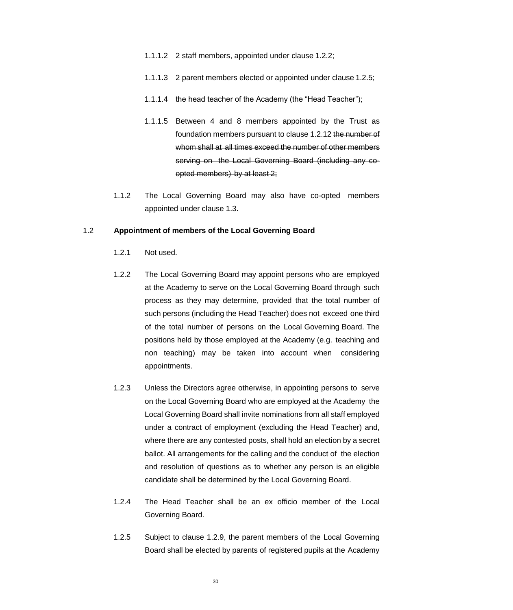- 1.1.1.2 2 staff members, appointed under clause 1.2.2;
- 1.1.1.3 2 parent members elected or appointed under clause 1.2.5;
- 1.1.1.4 the head teacher of the Academy (the "Head Teacher");
- 1.1.1.5 Between 4 and 8 members appointed by the Trust as foundation members pursuant to clause 1.2.12 the number of whom shall at all times exceed the number of other members serving on the Local Governing Board (including any coopted members) by at least 2;
- 1.1.2 The Local Governing Board may also have co-opted members appointed under clause 1.3.

#### 1.2 **Appointment of members of the Local Governing Board**

- 1.2.1 Not used.
- 1.2.2 The Local Governing Board may appoint persons who are employed at the Academy to serve on the Local Governing Board through such process as they may determine, provided that the total number of such persons (including the Head Teacher) does not exceed one third of the total number of persons on the Local Governing Board. The positions held by those employed at the Academy (e.g. teaching and non teaching) may be taken into account when considering appointments.
- 1.2.3 Unless the Directors agree otherwise, in appointing persons to serve on the Local Governing Board who are employed at the Academy the Local Governing Board shall invite nominations from all staff employed under a contract of employment (excluding the Head Teacher) and, where there are any contested posts, shall hold an election by a secret ballot. All arrangements for the calling and the conduct of the election and resolution of questions as to whether any person is an eligible candidate shall be determined by the Local Governing Board.
- 1.2.4 The Head Teacher shall be an ex officio member of the Local Governing Board.
- 1.2.5 Subject to clause 1.2.9, the parent members of the Local Governing Board shall be elected by parents of registered pupils at the Academy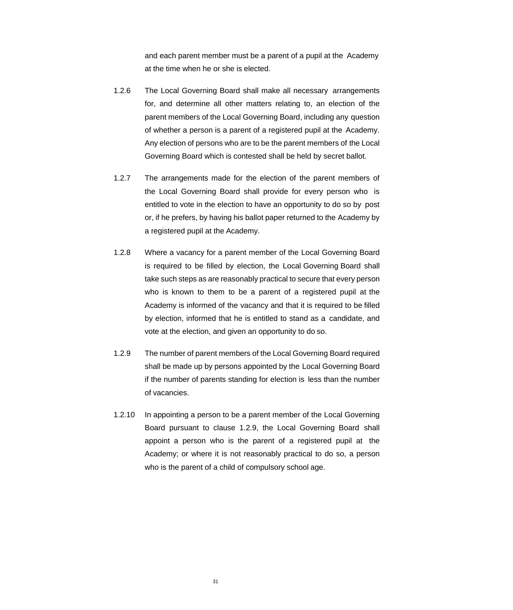and each parent member must be a parent of a pupil at the Academy at the time when he or she is elected.

- 1.2.6 The Local Governing Board shall make all necessary arrangements for, and determine all other matters relating to, an election of the parent members of the Local Governing Board, including any question of whether a person is a parent of a registered pupil at the Academy. Any election of persons who are to be the parent members of the Local Governing Board which is contested shall be held by secret ballot.
- 1.2.7 The arrangements made for the election of the parent members of the Local Governing Board shall provide for every person who is entitled to vote in the election to have an opportunity to do so by post or, if he prefers, by having his ballot paper returned to the Academy by a registered pupil at the Academy.
- 1.2.8 Where a vacancy for a parent member of the Local Governing Board is required to be filled by election, the Local Governing Board shall take such steps as are reasonably practical to secure that every person who is known to them to be a parent of a registered pupil at the Academy is informed of the vacancy and that it is required to be filled by election, informed that he is entitled to stand as a candidate, and vote at the election, and given an opportunity to do so.
- 1.2.9 The number of parent members of the Local Governing Board required shall be made up by persons appointed by the Local Governing Board if the number of parents standing for election is less than the number of vacancies.
- 1.2.10 In appointing a person to be a parent member of the Local Governing Board pursuant to clause 1.2.9, the Local Governing Board shall appoint a person who is the parent of a registered pupil at the Academy; or where it is not reasonably practical to do so, a person who is the parent of a child of compulsory school age.